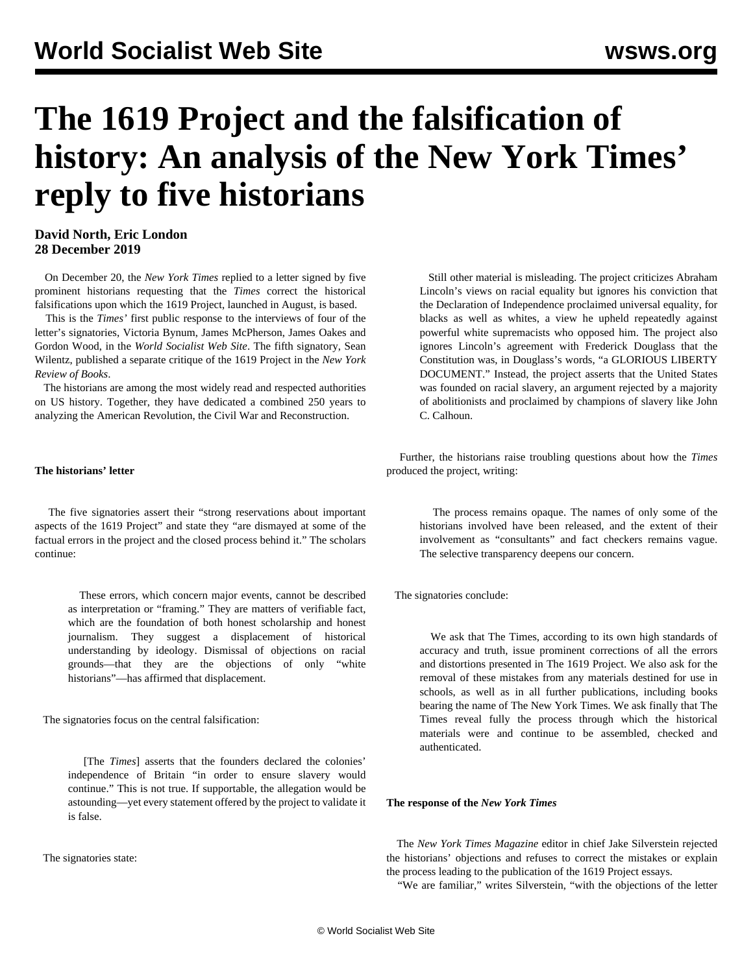# **The 1619 Project and the falsification of history: An analysis of the New York Times' reply to five historians**

# **David North, Eric London 28 December 2019**

 On December 20, the *New York Times* replied to a letter signed by five prominent historians requesting that the *Times* correct the historical falsifications upon which the 1619 Project, launched in August, is based.

 This is the *Times'* first public response to the interviews of four of the letter's signatories, Victoria Bynum, James McPherson, James Oakes and Gordon Wood, in the *World Socialist Web Site*. The fifth signatory, Sean Wilentz, published a separate critique of the 1619 Project in the *New York Review of Books*.

 The historians are among the most widely read and respected authorities on US history. Together, they have dedicated a combined 250 years to analyzing the American Revolution, the Civil War and Reconstruction.

# **The historians' letter**

 The five signatories assert their "strong reservations about important aspects of the 1619 Project" and state they "are dismayed at some of the factual errors in the project and the closed process behind it." The scholars continue:

 These errors, which concern major events, cannot be described as interpretation or "framing." They are matters of verifiable fact, which are the foundation of both honest scholarship and honest journalism. They suggest a displacement of historical understanding by ideology. Dismissal of objections on racial grounds—that they are the objections of only "white historians"—has affirmed that displacement.

The signatories focus on the central falsification:

 [The *Times*] asserts that the founders declared the colonies' independence of Britain "in order to ensure slavery would continue." This is not true. If supportable, the allegation would be astounding—yet every statement offered by the project to validate it is false.

The signatories state:

 Still other material is misleading. The project criticizes Abraham Lincoln's views on racial equality but ignores his conviction that the Declaration of Independence proclaimed universal equality, for blacks as well as whites, a view he upheld repeatedly against powerful white supremacists who opposed him. The project also ignores Lincoln's agreement with Frederick Douglass that the Constitution was, in Douglass's words, "a GLORIOUS LIBERTY DOCUMENT." Instead, the project asserts that the United States was founded on racial slavery, an argument rejected by a majority of abolitionists and proclaimed by champions of slavery like John C. Calhoun.

 Further, the historians raise troubling questions about how the *Times* produced the project, writing:

 The process remains opaque. The names of only some of the historians involved have been released, and the extent of their involvement as "consultants" and fact checkers remains vague. The selective transparency deepens our concern.

The signatories conclude:

 We ask that The Times, according to its own high standards of accuracy and truth, issue prominent corrections of all the errors and distortions presented in The 1619 Project. We also ask for the removal of these mistakes from any materials destined for use in schools, as well as in all further publications, including books bearing the name of The New York Times. We ask finally that The Times reveal fully the process through which the historical materials were and continue to be assembled, checked and authenticated.

## **The response of the** *New York Times*

 The *New York Times Magazine* editor in chief Jake Silverstein rejected the historians' objections and refuses to correct the mistakes or explain the process leading to the publication of the 1619 Project essays.

"We are familiar," writes Silverstein, "with the objections of the letter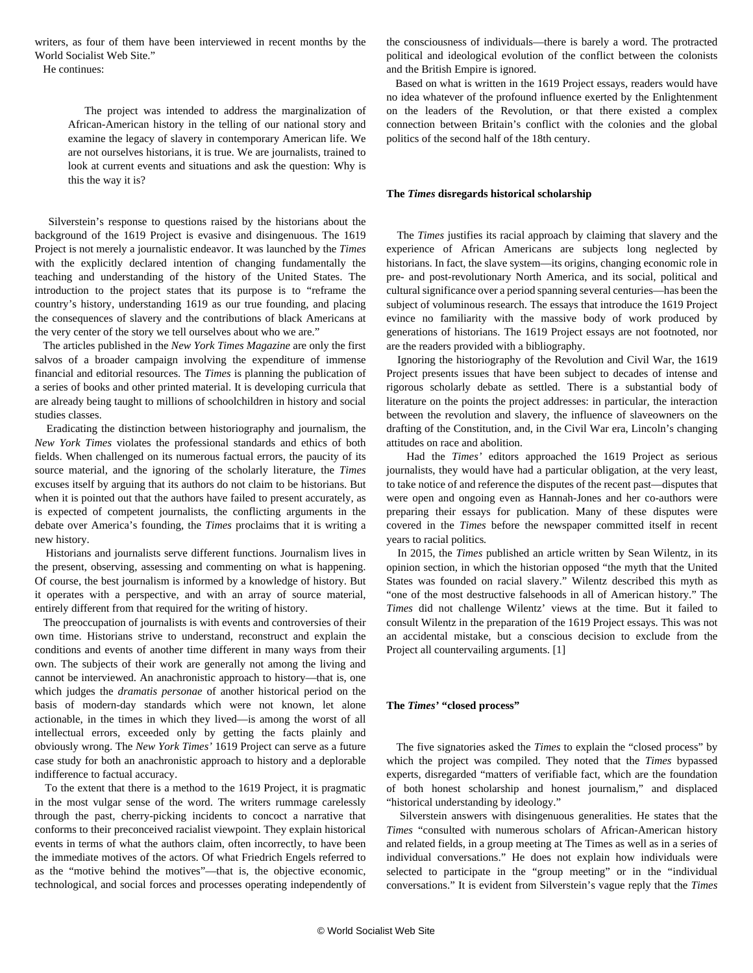writers, as four of them have been interviewed in recent months by the World Socialist Web Site."

He continues:

 The project was intended to address the marginalization of African-American history in the telling of our national story and examine the legacy of slavery in contemporary American life. We are not ourselves historians, it is true. We are journalists, trained to look at current events and situations and ask the question: Why is this the way it is?

 Silverstein's response to questions raised by the historians about the background of the 1619 Project is evasive and disingenuous. The 1619 Project is not merely a journalistic endeavor. It was launched by the *Times* with the explicitly declared intention of changing fundamentally the teaching and understanding of the history of the United States. The introduction to the project states that its purpose is to "reframe the country's history, understanding 1619 as our true founding, and placing the consequences of slavery and the contributions of black Americans at the very center of the story we tell ourselves about who we are."

 The articles published in the *New York Times Magazine* are only the first salvos of a broader campaign involving the expenditure of immense financial and editorial resources. The *Times* is planning the publication of a series of books and other printed material. It is developing curricula that are already being taught to millions of schoolchildren in history and social studies classes.

 Eradicating the distinction between historiography and journalism, the *New York Times* violates the professional standards and ethics of both fields. When challenged on its numerous factual errors, the paucity of its source material, and the ignoring of the scholarly literature, the *Times* excuses itself by arguing that its authors do not claim to be historians. But when it is pointed out that the authors have failed to present accurately, as is expected of competent journalists, the conflicting arguments in the debate over America's founding, the *Times* proclaims that it is writing a new history.

 Historians and journalists serve different functions. Journalism lives in the present, observing, assessing and commenting on what is happening. Of course, the best journalism is informed by a knowledge of history. But it operates with a perspective, and with an array of source material, entirely different from that required for the writing of history.

 The preoccupation of journalists is with events and controversies of their own time. Historians strive to understand, reconstruct and explain the conditions and events of another time different in many ways from their own. The subjects of their work are generally not among the living and cannot be interviewed. An anachronistic approach to history—that is, one which judges the *dramatis personae* of another historical period on the basis of modern-day standards which were not known, let alone actionable, in the times in which they lived—is among the worst of all intellectual errors, exceeded only by getting the facts plainly and obviously wrong. The *New York Times'* 1619 Project can serve as a future case study for both an anachronistic approach to history and a deplorable indifference to factual accuracy.

 To the extent that there is a method to the 1619 Project, it is pragmatic in the most vulgar sense of the word. The writers rummage carelessly through the past, cherry-picking incidents to concoct a narrative that conforms to their preconceived racialist viewpoint. They explain historical events in terms of what the authors claim, often incorrectly, to have been the immediate motives of the actors. Of what Friedrich Engels referred to as the "motive behind the motives"—that is, the objective economic, technological, and social forces and processes operating independently of the consciousness of individuals—there is barely a word. The protracted political and ideological evolution of the conflict between the colonists and the British Empire is ignored.

 Based on what is written in the 1619 Project essays, readers would have no idea whatever of the profound influence exerted by the Enlightenment on the leaders of the Revolution, or that there existed a complex connection between Britain's conflict with the colonies and the global politics of the second half of the 18th century.

# **The** *Times* **disregards historical scholarship**

 The *Times* justifies its racial approach by claiming that slavery and the experience of African Americans are subjects long neglected by historians. In fact, the slave system—its origins, changing economic role in pre- and post-revolutionary North America, and its social, political and cultural significance over a period spanning several centuries—has been the subject of voluminous research. The essays that introduce the 1619 Project evince no familiarity with the massive body of work produced by generations of historians. The 1619 Project essays are not footnoted, nor are the readers provided with a bibliography.

 Ignoring the historiography of the Revolution and Civil War, the 1619 Project presents issues that have been subject to decades of intense and rigorous scholarly debate as settled. There is a substantial body of literature on the points the project addresses: in particular, the interaction between the revolution and slavery, the influence of slaveowners on the drafting of the Constitution, and, in the Civil War era, Lincoln's changing attitudes on race and abolition.

 Had the *Times'* editors approached the 1619 Project as serious journalists, they would have had a particular obligation, at the very least, to take notice of and reference the disputes of the recent past—disputes that were open and ongoing even as Hannah-Jones and her co-authors were preparing their essays for publication. Many of these disputes were covered in the *Times* before the newspaper committed itself in recent years to racial politics*.*

 In 2015, the *Times* published an article written by Sean Wilentz, in its opinion section, in which the historian opposed "the myth that the United States was founded on racial slavery." Wilentz described this myth as "one of the most destructive falsehoods in all of American history." The *Times* did not challenge Wilentz' views at the time. But it failed to consult Wilentz in the preparation of the 1619 Project essays. This was not an accidental mistake, but a conscious decision to exclude from the Project all countervailing arguments. [1]

# **The** *Times'* **"closed process"**

 The five signatories asked the *Times* to explain the "closed process" by which the project was compiled. They noted that the *Times* bypassed experts, disregarded "matters of verifiable fact, which are the foundation of both honest scholarship and honest journalism," and displaced "historical understanding by ideology."

 Silverstein answers with disingenuous generalities. He states that the *Times* "consulted with numerous scholars of African-American history and related fields, in a group meeting at The Times as well as in a series of individual conversations." He does not explain how individuals were selected to participate in the "group meeting" or in the "individual conversations." It is evident from Silverstein's vague reply that the *Times*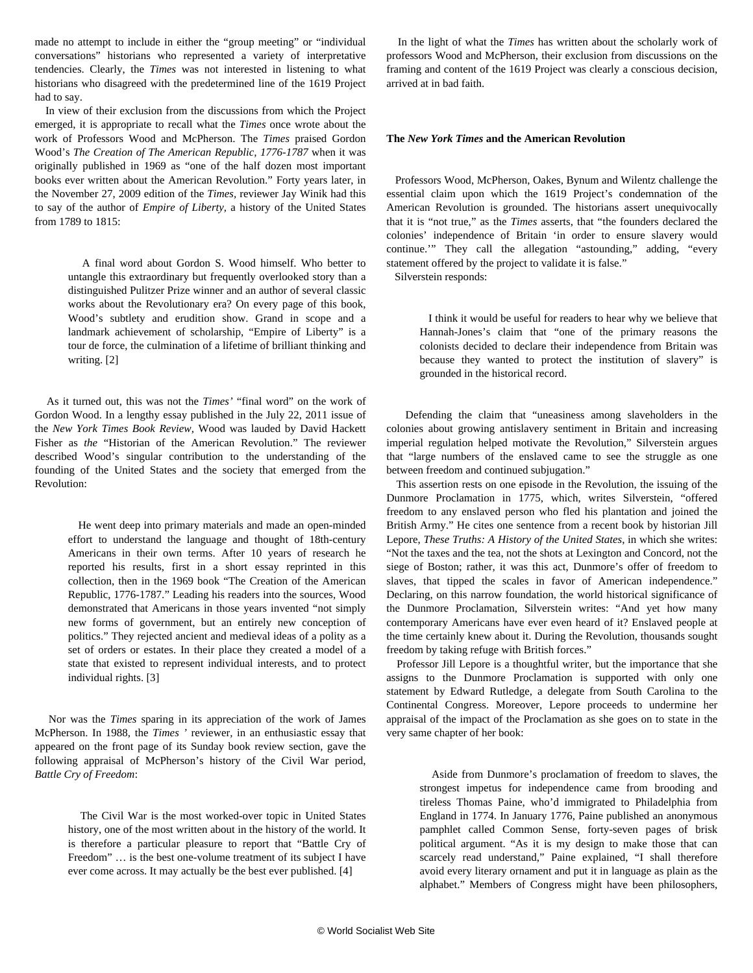made no attempt to include in either the "group meeting" or "individual conversations" historians who represented a variety of interpretative tendencies. Clearly, the *Times* was not interested in listening to what historians who disagreed with the predetermined line of the 1619 Project had to say.

 In view of their exclusion from the discussions from which the Project emerged, it is appropriate to recall what the *Times* once wrote about the work of Professors Wood and McPherson. The *Times* praised Gordon Wood's *The Creation of The American Republic, 1776-1787* when it was originally published in 1969 as "one of the half dozen most important books ever written about the American Revolution." Forty years later, in the November 27, 2009 edition of the *Times,* reviewer Jay Winik had this to say of the author of *Empire of Liberty,* a history of the United States from 1789 to 1815:

 A final word about Gordon S. Wood himself. Who better to untangle this extraordinary but frequently overlooked story than a distinguished Pulitzer Prize winner and an author of several classic works about the Revolutionary era? On every page of this book, Wood's subtlety and erudition show. Grand in scope and a landmark achievement of scholarship, "Empire of Liberty" is a tour de force, the culmination of a lifetime of brilliant thinking and writing. [2]

 As it turned out, this was not the *Times'* "final word" on the work of Gordon Wood. In a lengthy essay published in the July 22, 2011 issue of the *New York Times Book Review,* Wood was lauded by David Hackett Fisher as *the* "Historian of the American Revolution." The reviewer described Wood's singular contribution to the understanding of the founding of the United States and the society that emerged from the Revolution:

 He went deep into primary materials and made an open-minded effort to understand the language and thought of 18th-century Americans in their own terms. After 10 years of research he reported his results, first in a short essay reprinted in this collection, then in the 1969 book "The Creation of the American Republic, 1776-1787." Leading his readers into the sources, Wood demonstrated that Americans in those years invented "not simply new forms of government, but an entirely new conception of politics." They rejected ancient and medieval ideas of a polity as a set of orders or estates. In their place they created a model of a state that existed to represent individual interests, and to protect individual rights. [3]

 Nor was the *Times* sparing in its appreciation of the work of James McPherson. In 1988, the *Times '* reviewer*,* in an enthusiastic essay that appeared on the front page of its Sunday book review section, gave the following appraisal of McPherson's history of the Civil War period, *Battle Cry of Freedom*:

 The Civil War is the most worked-over topic in United States history, one of the most written about in the history of the world. It is therefore a particular pleasure to report that "Battle Cry of Freedom" … is the best one-volume treatment of its subject I have ever come across. It may actually be the best ever published. [4]

 In the light of what the *Times* has written about the scholarly work of professors Wood and McPherson, their exclusion from discussions on the framing and content of the 1619 Project was clearly a conscious decision, arrived at in bad faith.

# **The** *New York Times* **and the American Revolution**

 Professors Wood, McPherson, Oakes, Bynum and Wilentz challenge the essential claim upon which the 1619 Project's condemnation of the American Revolution is grounded. The historians assert unequivocally that it is "not true," as the *Times* asserts, that "the founders declared the colonies' independence of Britain 'in order to ensure slavery would continue.'" They call the allegation "astounding," adding, "every statement offered by the project to validate it is false."

Silverstein responds:

 I think it would be useful for readers to hear why we believe that Hannah-Jones's claim that "one of the primary reasons the colonists decided to declare their independence from Britain was because they wanted to protect the institution of slavery" is grounded in the historical record.

 Defending the claim that "uneasiness among slaveholders in the colonies about growing antislavery sentiment in Britain and increasing imperial regulation helped motivate the Revolution," Silverstein argues that "large numbers of the enslaved came to see the struggle as one between freedom and continued subjugation."

 This assertion rests on one episode in the Revolution, the issuing of the Dunmore Proclamation in 1775, which, writes Silverstein, "offered freedom to any enslaved person who fled his plantation and joined the British Army." He cites one sentence from a recent book by historian Jill Lepore, *These Truths: A History of the United States*, in which she writes: "Not the taxes and the tea, not the shots at Lexington and Concord, not the siege of Boston; rather, it was this act, Dunmore's offer of freedom to slaves, that tipped the scales in favor of American independence." Declaring, on this narrow foundation, the world historical significance of the Dunmore Proclamation, Silverstein writes: "And yet how many contemporary Americans have ever even heard of it? Enslaved people at the time certainly knew about it. During the Revolution, thousands sought freedom by taking refuge with British forces."

 Professor Jill Lepore is a thoughtful writer, but the importance that she assigns to the Dunmore Proclamation is supported with only one statement by Edward Rutledge, a delegate from South Carolina to the Continental Congress. Moreover, Lepore proceeds to undermine her appraisal of the impact of the Proclamation as she goes on to state in the very same chapter of her book:

 Aside from Dunmore's proclamation of freedom to slaves, the strongest impetus for independence came from brooding and tireless Thomas Paine, who'd immigrated to Philadelphia from England in 1774. In January 1776, Paine published an anonymous pamphlet called Common Sense, forty-seven pages of brisk political argument. "As it is my design to make those that can scarcely read understand," Paine explained, "I shall therefore avoid every literary ornament and put it in language as plain as the alphabet." Members of Congress might have been philosophers,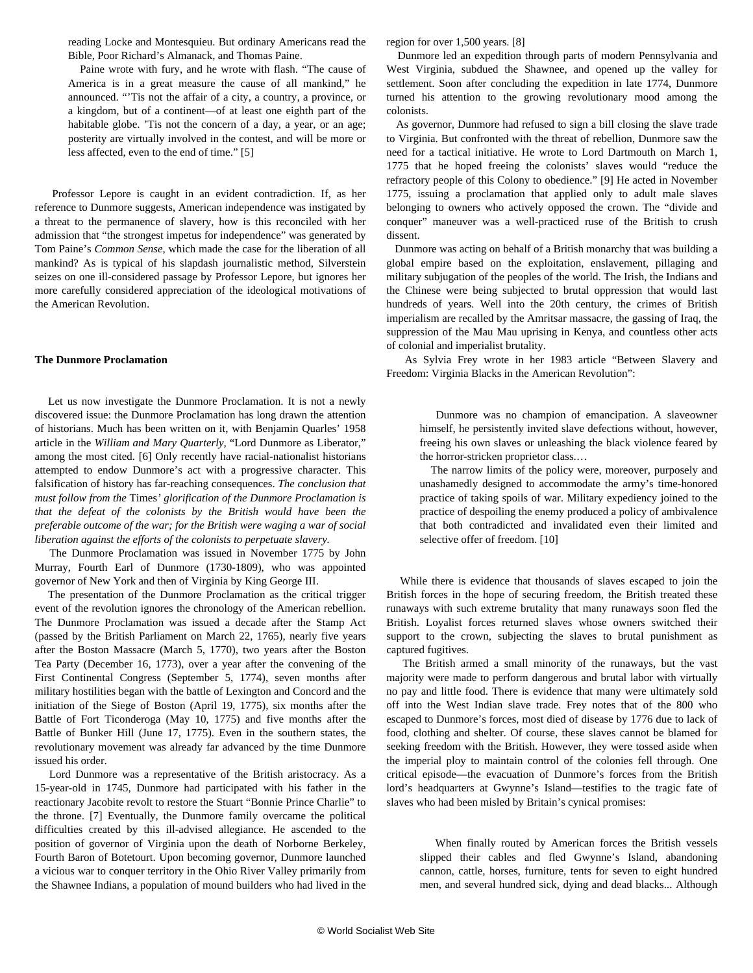reading Locke and Montesquieu. But ordinary Americans read the Bible, Poor Richard's Almanack, and Thomas Paine.

 Paine wrote with fury, and he wrote with flash. "The cause of America is in a great measure the cause of all mankind," he announced. "'Tis not the affair of a city, a country, a province, or a kingdom, but of a continent—of at least one eighth part of the habitable globe. 'Tis not the concern of a day, a year, or an age; posterity are virtually involved in the contest, and will be more or less affected, even to the end of time." [5]

 Professor Lepore is caught in an evident contradiction. If, as her reference to Dunmore suggests, American independence was instigated by a threat to the permanence of slavery, how is this reconciled with her admission that "the strongest impetus for independence" was generated by Tom Paine's *Common Sense*, which made the case for the liberation of all mankind? As is typical of his slapdash journalistic method, Silverstein seizes on one ill-considered passage by Professor Lepore, but ignores her more carefully considered appreciation of the ideological motivations of the American Revolution.

#### **The Dunmore Proclamation**

 Let us now investigate the Dunmore Proclamation. It is not a newly discovered issue: the Dunmore Proclamation has long drawn the attention of historians. Much has been written on it, with Benjamin Quarles' 1958 article in the *William and Mary Quarterly,* "Lord Dunmore as Liberator," among the most cited. [6] Only recently have racial-nationalist historians attempted to endow Dunmore's act with a progressive character. This falsification of history has far-reaching consequences. *The conclusion that must follow from the* Times*' glorification of the Dunmore Proclamation is that the defeat of the colonists by the British would have been the preferable outcome of the war; for the British were waging a war of social liberation against the efforts of the colonists to perpetuate slavery.*

 The Dunmore Proclamation was issued in November 1775 by John Murray, Fourth Earl of Dunmore (1730-1809), who was appointed governor of New York and then of Virginia by King George III.

 The presentation of the Dunmore Proclamation as the critical trigger event of the revolution ignores the chronology of the American rebellion. The Dunmore Proclamation was issued a decade after the Stamp Act (passed by the British Parliament on March 22, 1765), nearly five years after the Boston Massacre (March 5, 1770), two years after the Boston Tea Party (December 16, 1773), over a year after the convening of the First Continental Congress (September 5, 1774), seven months after military hostilities began with the battle of Lexington and Concord and the initiation of the Siege of Boston (April 19, 1775), six months after the Battle of Fort Ticonderoga (May 10, 1775) and five months after the Battle of Bunker Hill (June 17, 1775). Even in the southern states, the revolutionary movement was already far advanced by the time Dunmore issued his order.

 Lord Dunmore was a representative of the British aristocracy. As a 15-year-old in 1745, Dunmore had participated with his father in the reactionary Jacobite revolt to restore the Stuart "Bonnie Prince Charlie" to the throne. [7] Eventually, the Dunmore family overcame the political difficulties created by this ill-advised allegiance. He ascended to the position of governor of Virginia upon the death of Norborne Berkeley, Fourth Baron of Botetourt. Upon becoming governor, Dunmore launched a vicious war to conquer territory in the Ohio River Valley primarily from the Shawnee Indians, a population of mound builders who had lived in the region for over 1,500 years. [8]

 Dunmore led an expedition through parts of modern Pennsylvania and West Virginia, subdued the Shawnee, and opened up the valley for settlement. Soon after concluding the expedition in late 1774, Dunmore turned his attention to the growing revolutionary mood among the colonists.

 As governor, Dunmore had refused to sign a bill closing the slave trade to Virginia. But confronted with the threat of rebellion, Dunmore saw the need for a tactical initiative. He wrote to Lord Dartmouth on March 1, 1775 that he hoped freeing the colonists' slaves would "reduce the refractory people of this Colony to obedience." [9] He acted in November 1775, issuing a proclamation that applied only to adult male slaves belonging to owners who actively opposed the crown. The "divide and conquer" maneuver was a well-practiced ruse of the British to crush dissent.

 Dunmore was acting on behalf of a British monarchy that was building a global empire based on the exploitation, enslavement, pillaging and military subjugation of the peoples of the world. The Irish, the Indians and the Chinese were being subjected to brutal oppression that would last hundreds of years. Well into the 20th century, the crimes of British imperialism are recalled by the Amritsar massacre, the gassing of Iraq, the suppression of the Mau Mau uprising in Kenya, and countless other acts of colonial and imperialist brutality.

 As Sylvia Frey wrote in her 1983 article "Between Slavery and Freedom: Virginia Blacks in the American Revolution":

 Dunmore was no champion of emancipation. A slaveowner himself, he persistently invited slave defections without, however, freeing his own slaves or unleashing the black violence feared by the horror-stricken proprietor class.…

 The narrow limits of the policy were, moreover, purposely and unashamedly designed to accommodate the army's time-honored practice of taking spoils of war. Military expediency joined to the practice of despoiling the enemy produced a policy of ambivalence that both contradicted and invalidated even their limited and selective offer of freedom. [10]

 While there is evidence that thousands of slaves escaped to join the British forces in the hope of securing freedom, the British treated these runaways with such extreme brutality that many runaways soon fled the British. Loyalist forces returned slaves whose owners switched their support to the crown, subjecting the slaves to brutal punishment as captured fugitives.

 The British armed a small minority of the runaways, but the vast majority were made to perform dangerous and brutal labor with virtually no pay and little food. There is evidence that many were ultimately sold off into the West Indian slave trade. Frey notes that of the 800 who escaped to Dunmore's forces, most died of disease by 1776 due to lack of food, clothing and shelter. Of course, these slaves cannot be blamed for seeking freedom with the British. However, they were tossed aside when the imperial ploy to maintain control of the colonies fell through. One critical episode—the evacuation of Dunmore's forces from the British lord's headquarters at Gwynne's Island—testifies to the tragic fate of slaves who had been misled by Britain's cynical promises:

 When finally routed by American forces the British vessels slipped their cables and fled Gwynne's Island, abandoning cannon, cattle, horses, furniture, tents for seven to eight hundred men, and several hundred sick, dying and dead blacks... Although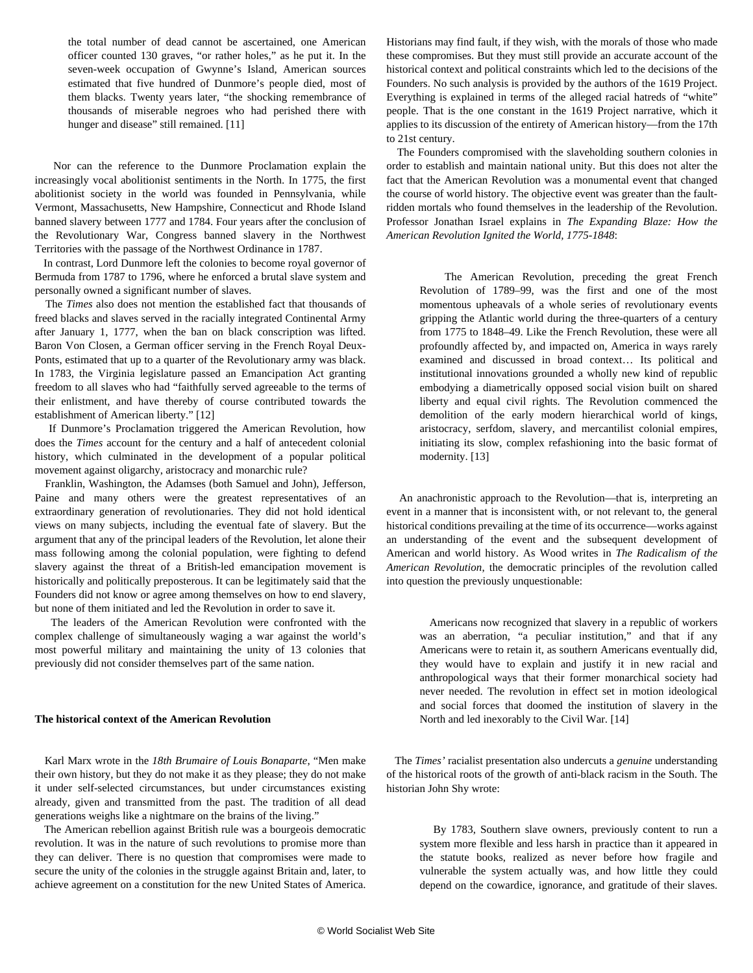the total number of dead cannot be ascertained, one American officer counted 130 graves, "or rather holes," as he put it. In the seven-week occupation of Gwynne's Island, American sources estimated that five hundred of Dunmore's people died, most of them blacks. Twenty years later, "the shocking remembrance of thousands of miserable negroes who had perished there with hunger and disease" still remained. [11]

 Nor can the reference to the Dunmore Proclamation explain the increasingly vocal abolitionist sentiments in the North. In 1775, the first abolitionist society in the world was founded in Pennsylvania, while Vermont, Massachusetts, New Hampshire, Connecticut and Rhode Island banned slavery between 1777 and 1784. Four years after the conclusion of the Revolutionary War, Congress banned slavery in the Northwest Territories with the passage of the Northwest Ordinance in 1787.

 In contrast, Lord Dunmore left the colonies to become royal governor of Bermuda from 1787 to 1796, where he enforced a brutal slave system and personally owned a significant number of slaves.

 The *Times* also does not mention the established fact that thousands of freed blacks and slaves served in the racially integrated Continental Army after January 1, 1777, when the ban on black conscription was lifted. Baron Von Closen, a German officer serving in the French Royal Deux-Ponts, estimated that up to a quarter of the Revolutionary army was black. In 1783, the Virginia legislature passed an Emancipation Act granting freedom to all slaves who had "faithfully served agreeable to the terms of their enlistment, and have thereby of course contributed towards the establishment of American liberty." [12]

 If Dunmore's Proclamation triggered the American Revolution, how does the *Times* account for the century and a half of antecedent colonial history, which culminated in the development of a popular political movement against oligarchy, aristocracy and monarchic rule?

 Franklin, Washington, the Adamses (both Samuel and John), Jefferson, Paine and many others were the greatest representatives of an extraordinary generation of revolutionaries. They did not hold identical views on many subjects, including the eventual fate of slavery. But the argument that any of the principal leaders of the Revolution, let alone their mass following among the colonial population, were fighting to defend slavery against the threat of a British-led emancipation movement is historically and politically preposterous. It can be legitimately said that the Founders did not know or agree among themselves on how to end slavery, but none of them initiated and led the Revolution in order to save it.

 The leaders of the American Revolution were confronted with the complex challenge of simultaneously waging a war against the world's most powerful military and maintaining the unity of 13 colonies that previously did not consider themselves part of the same nation.

#### **The historical context of the American Revolution**

 Karl Marx wrote in the *18th Brumaire of Louis Bonaparte*, "Men make their own history, but they do not make it as they please; they do not make it under self-selected circumstances, but under circumstances existing already, given and transmitted from the past. The tradition of all dead generations weighs like a nightmare on the brains of the living."

 The American rebellion against British rule was a bourgeois democratic revolution. It was in the nature of such revolutions to promise more than they can deliver. There is no question that compromises were made to secure the unity of the colonies in the struggle against Britain and, later, to achieve agreement on a constitution for the new United States of America.

Historians may find fault, if they wish, with the morals of those who made these compromises. But they must still provide an accurate account of the historical context and political constraints which led to the decisions of the Founders. No such analysis is provided by the authors of the 1619 Project. Everything is explained in terms of the alleged racial hatreds of "white" people. That is the one constant in the 1619 Project narrative, which it applies to its discussion of the entirety of American history—from the 17th to 21st century.

 The Founders compromised with the slaveholding southern colonies in order to establish and maintain national unity. But this does not alter the fact that the American Revolution was a monumental event that changed the course of world history. The objective event was greater than the faultridden mortals who found themselves in the leadership of the Revolution. Professor Jonathan Israel explains in *The Expanding Blaze: How the American Revolution Ignited the World, 1775-1848*:

 The American Revolution, preceding the great French Revolution of 1789–99, was the first and one of the most momentous upheavals of a whole series of revolutionary events gripping the Atlantic world during the three-quarters of a century from 1775 to 1848–49. Like the French Revolution, these were all profoundly affected by, and impacted on, America in ways rarely examined and discussed in broad context… Its political and institutional innovations grounded a wholly new kind of republic embodying a diametrically opposed social vision built on shared liberty and equal civil rights. The Revolution commenced the demolition of the early modern hierarchical world of kings, aristocracy, serfdom, slavery, and mercantilist colonial empires, initiating its slow, complex refashioning into the basic format of modernity. [13]

 An anachronistic approach to the Revolution—that is, interpreting an event in a manner that is inconsistent with, or not relevant to, the general historical conditions prevailing at the time of its occurrence—works against an understanding of the event and the subsequent development of American and world history. As Wood writes in *The Radicalism of the American Revolution*, the democratic principles of the revolution called into question the previously unquestionable:

 Americans now recognized that slavery in a republic of workers was an aberration, "a peculiar institution," and that if any Americans were to retain it, as southern Americans eventually did, they would have to explain and justify it in new racial and anthropological ways that their former monarchical society had never needed. The revolution in effect set in motion ideological and social forces that doomed the institution of slavery in the North and led inexorably to the Civil War. [14]

 The *Times'* racialist presentation also undercuts a *genuine* understanding of the historical roots of the growth of anti-black racism in the South. The historian John Shy wrote:

 By 1783, Southern slave owners, previously content to run a system more flexible and less harsh in practice than it appeared in the statute books, realized as never before how fragile and vulnerable the system actually was, and how little they could depend on the cowardice, ignorance, and gratitude of their slaves.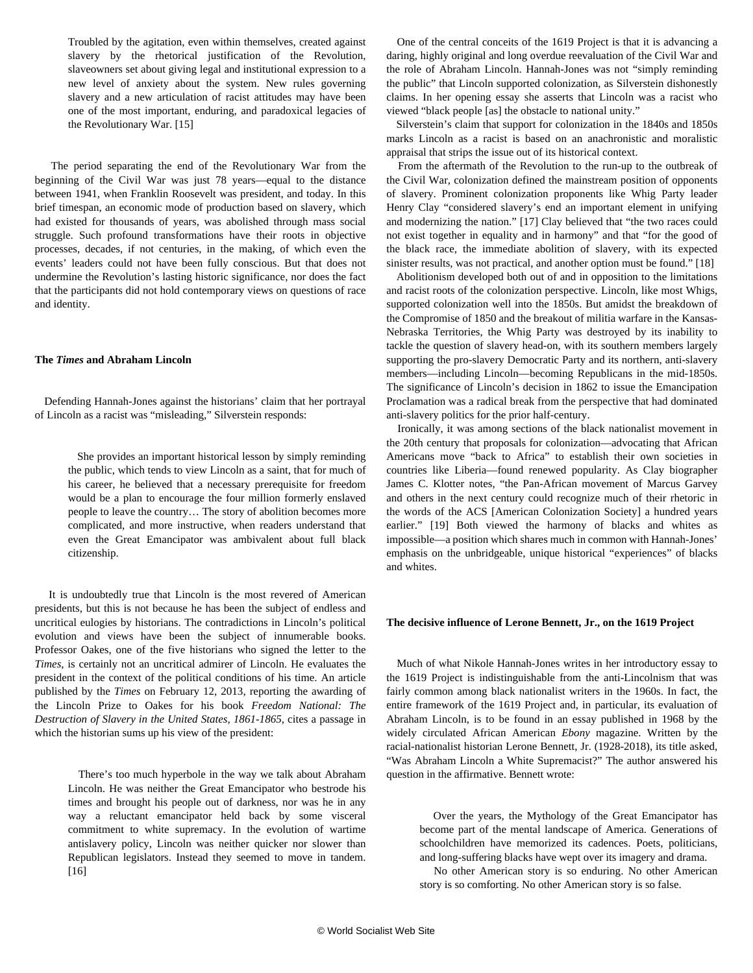Troubled by the agitation, even within themselves, created against slavery by the rhetorical justification of the Revolution, slaveowners set about giving legal and institutional expression to a new level of anxiety about the system. New rules governing slavery and a new articulation of racist attitudes may have been one of the most important, enduring, and paradoxical legacies of the Revolutionary War. [15]

 The period separating the end of the Revolutionary War from the beginning of the Civil War was just 78 years—equal to the distance between 1941, when Franklin Roosevelt was president, and today. In this brief timespan, an economic mode of production based on slavery, which had existed for thousands of years, was abolished through mass social struggle. Such profound transformations have their roots in objective processes, decades, if not centuries, in the making, of which even the events' leaders could not have been fully conscious. But that does not undermine the Revolution's lasting historic significance, nor does the fact that the participants did not hold contemporary views on questions of race and identity.

## **The** *Times* **and Abraham Lincoln**

 Defending Hannah-Jones against the historians' claim that her portrayal of Lincoln as a racist was "misleading," Silverstein responds:

 She provides an important historical lesson by simply reminding the public, which tends to view Lincoln as a saint, that for much of his career, he believed that a necessary prerequisite for freedom would be a plan to encourage the four million formerly enslaved people to leave the country… The story of abolition becomes more complicated, and more instructive, when readers understand that even the Great Emancipator was ambivalent about full black citizenship.

 It is undoubtedly true that Lincoln is the most revered of American presidents, but this is not because he has been the subject of endless and uncritical eulogies by historians. The contradictions in Lincoln's political evolution and views have been the subject of innumerable books. Professor Oakes, one of the five historians who signed the letter to the *Times*, is certainly not an uncritical admirer of Lincoln. He evaluates the president in the context of the political conditions of his time. An article published by the *Times* on February 12, 2013, reporting the awarding of the Lincoln Prize to Oakes for his book *Freedom National: The Destruction of Slavery in the United States, 1861-1865*, cites a passage in which the historian sums up his view of the president:

 There's too much hyperbole in the way we talk about Abraham Lincoln. He was neither the Great Emancipator who bestrode his times and brought his people out of darkness, nor was he in any way a reluctant emancipator held back by some visceral commitment to white supremacy. In the evolution of wartime antislavery policy, Lincoln was neither quicker nor slower than Republican legislators. Instead they seemed to move in tandem. [16]

 One of the central conceits of the 1619 Project is that it is advancing a daring, highly original and long overdue reevaluation of the Civil War and the role of Abraham Lincoln. Hannah-Jones was not "simply reminding the public" that Lincoln supported colonization, as Silverstein dishonestly claims. In her opening essay she asserts that Lincoln was a racist who viewed "black people [as] the obstacle to national unity."

 Silverstein's claim that support for colonization in the 1840s and 1850s marks Lincoln as a racist is based on an anachronistic and moralistic appraisal that strips the issue out of its historical context.

 From the aftermath of the Revolution to the run-up to the outbreak of the Civil War, colonization defined the mainstream position of opponents of slavery. Prominent colonization proponents like Whig Party leader Henry Clay "considered slavery's end an important element in unifying and modernizing the nation." [17] Clay believed that "the two races could not exist together in equality and in harmony" and that "for the good of the black race, the immediate abolition of slavery, with its expected sinister results, was not practical, and another option must be found." [18]

 Abolitionism developed both out of and in opposition to the limitations and racist roots of the colonization perspective. Lincoln, like most Whigs, supported colonization well into the 1850s. But amidst the breakdown of the Compromise of 1850 and the breakout of militia warfare in the Kansas-Nebraska Territories, the Whig Party was destroyed by its inability to tackle the question of slavery head-on, with its southern members largely supporting the pro-slavery Democratic Party and its northern, anti-slavery members—including Lincoln—becoming Republicans in the mid-1850s. The significance of Lincoln's decision in 1862 to issue the Emancipation Proclamation was a radical break from the perspective that had dominated anti-slavery politics for the prior half-century.

 Ironically, it was among sections of the black nationalist movement in the 20th century that proposals for colonization—advocating that African Americans move "back to Africa" to establish their own societies in countries like Liberia—found renewed popularity. As Clay biographer James C. Klotter notes, "the Pan-African movement of Marcus Garvey and others in the next century could recognize much of their rhetoric in the words of the ACS [American Colonization Society] a hundred years earlier." [19] Both viewed the harmony of blacks and whites as impossible—a position which shares much in common with Hannah-Jones' emphasis on the unbridgeable, unique historical "experiences" of blacks and whites.

## **The decisive influence of Lerone Bennett, Jr., on the 1619 Project**

 Much of what Nikole Hannah-Jones writes in her introductory essay to the 1619 Project is indistinguishable from the anti-Lincolnism that was fairly common among black nationalist writers in the 1960s. In fact, the entire framework of the 1619 Project and, in particular, its evaluation of Abraham Lincoln, is to be found in an essay published in 1968 by the widely circulated African American *Ebony* magazine. Written by the racial-nationalist historian Lerone Bennett, Jr. (1928-2018), its title asked, "Was Abraham Lincoln a White Supremacist?" The author answered his question in the affirmative. Bennett wrote:

 Over the years, the Mythology of the Great Emancipator has become part of the mental landscape of America. Generations of schoolchildren have memorized its cadences. Poets, politicians, and long-suffering blacks have wept over its imagery and drama.

 No other American story is so enduring. No other American story is so comforting. No other American story is so false.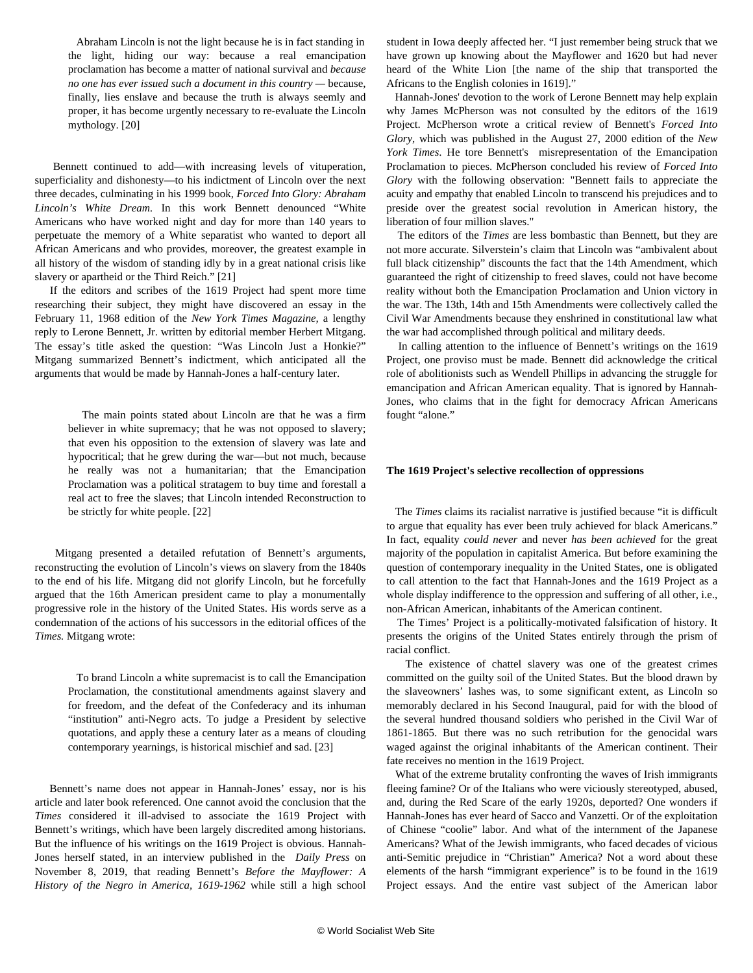Abraham Lincoln is not the light because he is in fact standing in the light, hiding our way: because a real emancipation proclamation has become a matter of national survival and *because no one has ever issued such a document in this country —* because, finally, lies enslave and because the truth is always seemly and proper, it has become urgently necessary to re-evaluate the Lincoln mythology. [20]

 Bennett continued to add—with increasing levels of vituperation, superficiality and dishonesty—to his indictment of Lincoln over the next three decades, culminating in his 1999 book, *Forced Into Glory: Abraham Lincoln's White Dream.* In this work Bennett denounced "White Americans who have worked night and day for more than 140 years to perpetuate the memory of a White separatist who wanted to deport all African Americans and who provides, moreover, the greatest example in all history of the wisdom of standing idly by in a great national crisis like slavery or apartheid or the Third Reich." [21]

 If the editors and scribes of the 1619 Project had spent more time researching their subject, they might have discovered an essay in the February 11, 1968 edition of the *New York Times Magazine,* a lengthy reply to Lerone Bennett, Jr. written by editorial member Herbert Mitgang. The essay's title asked the question: "Was Lincoln Just a Honkie?" Mitgang summarized Bennett's indictment, which anticipated all the arguments that would be made by Hannah-Jones a half-century later.

> The main points stated about Lincoln are that he was a firm believer in white supremacy; that he was not opposed to slavery; that even his opposition to the extension of slavery was late and hypocritical; that he grew during the war—but not much, because he really was not a humanitarian; that the Emancipation Proclamation was a political stratagem to buy time and forestall a real act to free the slaves; that Lincoln intended Reconstruction to be strictly for white people. [22]

 Mitgang presented a detailed refutation of Bennett's arguments, reconstructing the evolution of Lincoln's views on slavery from the 1840s to the end of his life. Mitgang did not glorify Lincoln, but he forcefully argued that the 16th American president came to play a monumentally progressive role in the history of the United States. His words serve as a condemnation of the actions of his successors in the editorial offices of the *Times.* Mitgang wrote:

> To brand Lincoln a white supremacist is to call the Emancipation Proclamation, the constitutional amendments against slavery and for freedom, and the defeat of the Confederacy and its inhuman "institution" anti-Negro acts. To judge a President by selective quotations, and apply these a century later as a means of clouding contemporary yearnings, is historical mischief and sad. [23]

 Bennett's name does not appear in Hannah-Jones' essay, nor is his article and later book referenced. One cannot avoid the conclusion that the *Times* considered it ill-advised to associate the 1619 Project with Bennett's writings, which have been largely discredited among historians. But the influence of his writings on the 1619 Project is obvious. Hannah-Jones herself stated, in an interview published in the *[Daily Press](https://www.dailypress.com/news/education/dp-nw-hampton-nyt-the-1619-project-jones-20191108-uxvztdkjzng6ffciohfw3tbqqy-story.html)* on November 8, 2019, that reading Bennett's *Before the Mayflower: A History of the Negro in America, 1619-1962* while still a high school student in Iowa deeply affected her. "I just remember being struck that we have grown up knowing about the Mayflower and 1620 but had never heard of the White Lion [the name of the ship that transported the Africans to the English colonies in 1619]."

 Hannah-Jones' devotion to the work of Lerone Bennett may help explain why James McPherson was not consulted by the editors of the 1619 Project. McPherson wrote a [critical review](http://movies2.nytimes.com/books/00/08/27/reviews/000827.27mcphert.html) of Bennett's *Forced Into Glory*, which was published in the August 27, 2000 edition of the *New York Times*. He tore Bennett's misrepresentation of the Emancipation Proclamation to pieces. McPherson concluded his review of *Forced Into Glory* with the following observation: "Bennett fails to appreciate the acuity and empathy that enabled Lincoln to transcend his prejudices and to preside over the greatest social revolution in American history, the liberation of four million slaves."

 The editors of the *Times* are less bombastic than Bennett, but they are not more accurate. Silverstein's claim that Lincoln was "ambivalent about full black citizenship" discounts the fact that the 14th Amendment, which guaranteed the right of citizenship to freed slaves, could not have become reality without both the Emancipation Proclamation and Union victory in the war. The 13th, 14th and 15th Amendments were collectively called the Civil War Amendments because they enshrined in constitutional law what the war had accomplished through political and military deeds.

 In calling attention to the influence of Bennett's writings on the 1619 Project, one proviso must be made. Bennett did acknowledge the critical role of abolitionists such as Wendell Phillips in advancing the struggle for emancipation and African American equality. That is ignored by Hannah-Jones, who claims that in the fight for democracy African Americans fought "alone."

# **The 1619 Project's selective recollection of oppressions**

 The *Times* claims its racialist narrative is justified because "it is difficult to argue that equality has ever been truly achieved for black Americans." In fact, equality *could never* and never *has been achieved* for the great majority of the population in capitalist America. But before examining the question of contemporary inequality in the United States, one is obligated to call attention to the fact that Hannah-Jones and the 1619 Project as a whole display indifference to the oppression and suffering of all other, i.e., non-African American, inhabitants of the American continent.

 The Times' Project is a politically-motivated falsification of history. It presents the origins of the United States entirely through the prism of racial conflict.

 The existence of chattel slavery was one of the greatest crimes committed on the guilty soil of the United States. But the blood drawn by the slaveowners' lashes was, to some significant extent, as Lincoln so memorably declared in his Second Inaugural, paid for with the blood of the several hundred thousand soldiers who perished in the Civil War of 1861-1865. But there was no such retribution for the genocidal wars waged against the original inhabitants of the American continent. Their fate receives no mention in the 1619 Project.

 What of the extreme brutality confronting the waves of Irish immigrants fleeing famine? Or of the Italians who were viciously stereotyped, abused, and, during the Red Scare of the early 1920s, deported? One wonders if Hannah-Jones has ever heard of Sacco and Vanzetti. Or of the exploitation of Chinese "coolie" labor. And what of the internment of the Japanese Americans? What of the Jewish immigrants, who faced decades of vicious anti-Semitic prejudice in "Christian" America? Not a word about these elements of the harsh "immigrant experience" is to be found in the 1619 Project essays. And the entire vast subject of the American labor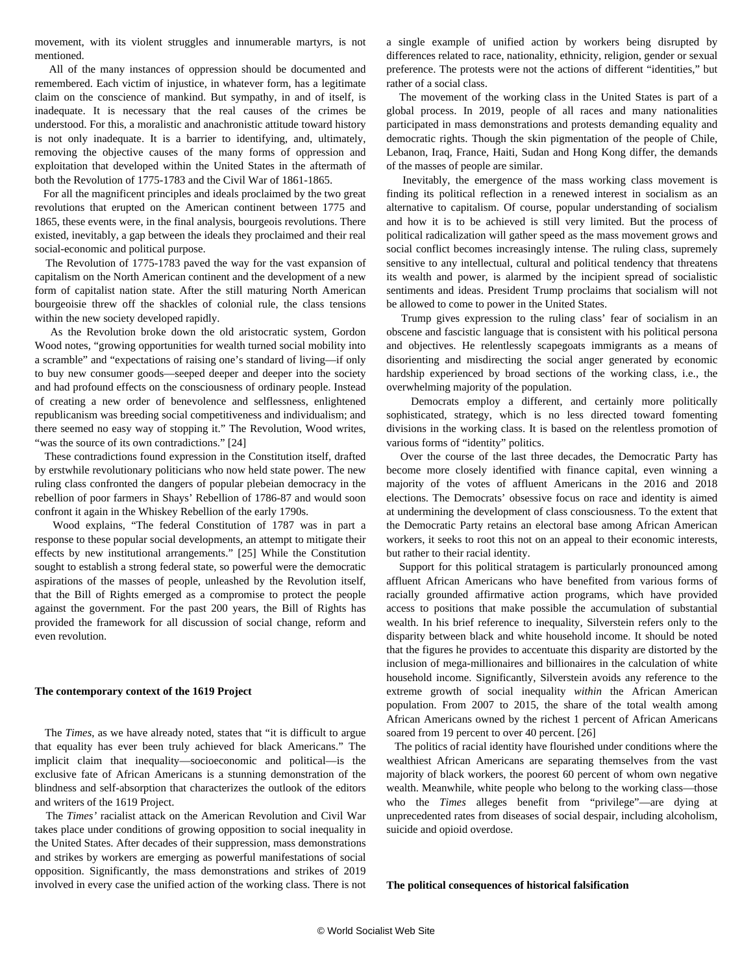movement, with its violent struggles and innumerable martyrs, is not mentioned.

 All of the many instances of oppression should be documented and remembered. Each victim of injustice, in whatever form, has a legitimate claim on the conscience of mankind. But sympathy, in and of itself, is inadequate. It is necessary that the real causes of the crimes be understood. For this, a moralistic and anachronistic attitude toward history is not only inadequate. It is a barrier to identifying, and, ultimately, removing the objective causes of the many forms of oppression and exploitation that developed within the United States in the aftermath of both the Revolution of 1775-1783 and the Civil War of 1861-1865.

 For all the magnificent principles and ideals proclaimed by the two great revolutions that erupted on the American continent between 1775 and 1865, these events were, in the final analysis, bourgeois revolutions. There existed, inevitably, a gap between the ideals they proclaimed and their real social-economic and political purpose.

 The Revolution of 1775-1783 paved the way for the vast expansion of capitalism on the North American continent and the development of a new form of capitalist nation state. After the still maturing North American bourgeoisie threw off the shackles of colonial rule, the class tensions within the new society developed rapidly.

 As the Revolution broke down the old aristocratic system, Gordon Wood notes, "growing opportunities for wealth turned social mobility into a scramble" and "expectations of raising one's standard of living—if only to buy new consumer goods—seeped deeper and deeper into the society and had profound effects on the consciousness of ordinary people. Instead of creating a new order of benevolence and selflessness, enlightened republicanism was breeding social competitiveness and individualism; and there seemed no easy way of stopping it." The Revolution, Wood writes, "was the source of its own contradictions." [24]

 These contradictions found expression in the Constitution itself, drafted by erstwhile revolutionary politicians who now held state power. The new ruling class confronted the dangers of popular plebeian democracy in the rebellion of poor farmers in Shays' Rebellion of 1786-87 and would soon confront it again in the Whiskey Rebellion of the early 1790s.

 Wood explains, "The federal Constitution of 1787 was in part a response to these popular social developments, an attempt to mitigate their effects by new institutional arrangements." [25] While the Constitution sought to establish a strong federal state, so powerful were the democratic aspirations of the masses of people, unleashed by the Revolution itself, that the Bill of Rights emerged as a compromise to protect the people against the government. For the past 200 years, the Bill of Rights has provided the framework for all discussion of social change, reform and even revolution.

## **The contemporary context of the 1619 Project**

The *Times*, as we have already noted, states that "it is difficult to argue that equality has ever been truly achieved for black Americans." The implicit claim that inequality—socioeconomic and political—is the exclusive fate of African Americans is a stunning demonstration of the blindness and self-absorption that characterizes the outlook of the editors and writers of the 1619 Project.

 The *Times'* racialist attack on the American Revolution and Civil War takes place under conditions of growing opposition to social inequality in the United States. After decades of their suppression, mass demonstrations and strikes by workers are emerging as powerful manifestations of social opposition. Significantly, the mass demonstrations and strikes of 2019 involved in every case the unified action of the working class. There is not a single example of unified action by workers being disrupted by differences related to race, nationality, ethnicity, religion, gender or sexual preference. The protests were not the actions of different "identities," but rather of a social class.

 The movement of the working class in the United States is part of a global process. In 2019, people of all races and many nationalities participated in mass demonstrations and protests demanding equality and democratic rights. Though the skin pigmentation of the people of Chile, Lebanon, Iraq, France, Haiti, Sudan and Hong Kong differ, the demands of the masses of people are similar.

 Inevitably, the emergence of the mass working class movement is finding its political reflection in a renewed interest in socialism as an alternative to capitalism. Of course, popular understanding of socialism and how it is to be achieved is still very limited. But the process of political radicalization will gather speed as the mass movement grows and social conflict becomes increasingly intense. The ruling class, supremely sensitive to any intellectual, cultural and political tendency that threatens its wealth and power, is alarmed by the incipient spread of socialistic sentiments and ideas. President Trump proclaims that socialism will not be allowed to come to power in the United States.

 Trump gives expression to the ruling class' fear of socialism in an obscene and fascistic language that is consistent with his political persona and objectives. He relentlessly scapegoats immigrants as a means of disorienting and misdirecting the social anger generated by economic hardship experienced by broad sections of the working class, i.e., the overwhelming majority of the population.

 Democrats employ a different, and certainly more politically sophisticated, strategy, which is no less directed toward fomenting divisions in the working class. It is based on the relentless promotion of various forms of "identity" politics.

 Over the course of the last three decades, the Democratic Party has become more closely identified with finance capital, even winning a majority of the votes of affluent Americans in the 2016 and 2018 elections. The Democrats' obsessive focus on race and identity is aimed at undermining the development of class consciousness. To the extent that the Democratic Party retains an electoral base among African American workers, it seeks to root this not on an appeal to their economic interests, but rather to their racial identity.

 Support for this political stratagem is particularly pronounced among affluent African Americans who have benefited from various forms of racially grounded affirmative action programs, which have provided access to positions that make possible the accumulation of substantial wealth. In his brief reference to inequality, Silverstein refers only to the disparity between black and white household income. It should be noted that the figures he provides to accentuate this disparity are distorted by the inclusion of mega-millionaires and billionaires in the calculation of white household income. Significantly, Silverstein avoids any reference to the extreme growth of social inequality *within* the African American population. From 2007 to 2015, the share of the total wealth among African Americans owned by the richest 1 percent of African Americans soared from 19 percent to over 40 percent. [26]

 The politics of racial identity have flourished under conditions where the wealthiest African Americans are separating themselves from the vast majority of black workers, the poorest 60 percent of whom own negative wealth. Meanwhile, white people who belong to the working class—those who the *Times* alleges benefit from "privilege"—are dying at unprecedented rates from diseases of social despair, including alcoholism, suicide and opioid overdose.

**The political consequences of historical falsification**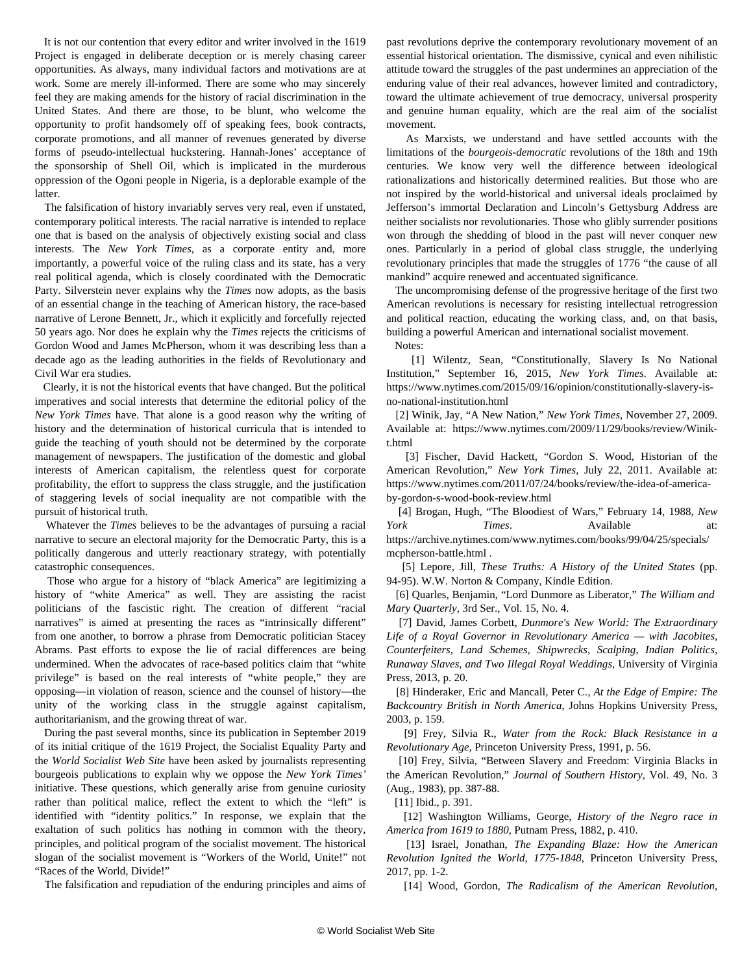It is not our contention that every editor and writer involved in the 1619 Project is engaged in deliberate deception or is merely chasing career opportunities. As always, many individual factors and motivations are at work. Some are merely ill-informed. There are some who may sincerely feel they are making amends for the history of racial discrimination in the United States. And there are those, to be blunt, who welcome the opportunity to profit handsomely off of speaking fees, book contracts, corporate promotions, and all manner of revenues generated by diverse forms of pseudo-intellectual huckstering. Hannah-Jones' acceptance of [the sponsorship of Shell Oil](/en/articles/2019/12/18/shell-d18.html), which is implicated in the murderous oppression of the Ogoni people in Nigeria, is a deplorable example of the **latter** 

 The falsification of history invariably serves very real, even if unstated, contemporary political interests. The racial narrative is intended to replace one that is based on the analysis of objectively existing social and class interests. The *New York Times*, as a corporate entity and, more importantly, a powerful voice of the ruling class and its state, has a very real political agenda, which is closely coordinated with the Democratic Party. Silverstein never explains why the *Times* now adopts, as the basis of an essential change in the teaching of American history, the race-based narrative of Lerone Bennett, Jr., which it explicitly and forcefully rejected 50 years ago. Nor does he explain why the *Times* rejects the criticisms of Gordon Wood and James McPherson, whom it was describing less than a decade ago as the leading authorities in the fields of Revolutionary and Civil War era studies.

 Clearly, it is not the historical events that have changed. But the political imperatives and social interests that determine the editorial policy of the *New York Times* have. That alone is a good reason why the writing of history and the determination of historical curricula that is intended to guide the teaching of youth should not be determined by the corporate management of newspapers. The justification of the domestic and global interests of American capitalism, the relentless quest for corporate profitability, the effort to suppress the class struggle, and the justification of staggering levels of social inequality are not compatible with the pursuit of historical truth.

 Whatever the *Times* believes to be the advantages of pursuing a racial narrative to secure an electoral majority for the Democratic Party, this is a politically dangerous and utterly reactionary strategy, with potentially catastrophic consequences.

 Those who argue for a history of "black America" are legitimizing a history of "white America" as well. They are assisting the racist politicians of the fascistic right. The creation of different "racial narratives" is aimed at presenting the races as "intrinsically different" from one another, to borrow a phrase from Democratic politician Stacey Abrams. Past efforts to expose the lie of racial differences are being undermined. When the advocates of race-based politics claim that "white privilege" is based on the real interests of "white people," they are opposing—in violation of reason, science and the counsel of history—the unity of the working class in the struggle against capitalism, authoritarianism, and the growing threat of war.

 During the past several months, since its publication in September 2019 of its [initial critique of the 1619 Project,](/en/articles/2019/09/06/1619-s06.html) the Socialist Equality Party and the *World Socialist Web Site* have been asked by journalists representing bourgeois publications to explain why we oppose the *New York Times'* initiative. These questions, which generally arise from genuine curiosity rather than political malice, reflect the extent to which the "left" is identified with "identity politics." In response, we explain that the exaltation of such politics has nothing in common with the theory, principles, and political program of the socialist movement. The historical slogan of the socialist movement is "Workers of the World, Unite!" not "Races of the World, Divide!"

The falsification and repudiation of the enduring principles and aims of

past revolutions deprive the contemporary revolutionary movement of an essential historical orientation. The dismissive, cynical and even nihilistic attitude toward the struggles of the past undermines an appreciation of the enduring value of their real advances, however limited and contradictory, toward the ultimate achievement of true democracy, universal prosperity and genuine human equality, which are the real aim of the socialist movement.

 As Marxists, we understand and have settled accounts with the limitations of the *bourgeois-democratic* revolutions of the 18th and 19th centuries. We know very well the difference between ideological rationalizations and historically determined realities. But those who are not inspired by the world-historical and universal ideals proclaimed by Jefferson's immortal Declaration and Lincoln's Gettysburg Address are neither socialists nor revolutionaries. Those who glibly surrender positions won through the shedding of blood in the past will never conquer new ones. Particularly in a period of global class struggle, the underlying revolutionary principles that made the struggles of 1776 "the cause of all mankind" acquire renewed and accentuated significance.

 The uncompromising defense of the progressive heritage of the first two American revolutions is necessary for resisting intellectual retrogression and political reaction, educating the working class, and, on that basis, building a powerful American and international socialist movement. Notes:

 [1] Wilentz, Sean, "Constitutionally, Slavery Is No National Institution," September 16, 2015, *New York Times*. Available at: [https://www.nytimes.com/2015/09/16/opinion/constitutionally-slavery-is](https://www.nytimes.com/2015/09/16/opinion/constitutionally-slavery-is-no-national-institution.html)[no-national-institution.html](https://www.nytimes.com/2015/09/16/opinion/constitutionally-slavery-is-no-national-institution.html)

 [2] Winik, Jay, "A New Nation," *New York Times*, November 27, 2009. Available at: [https://www.nytimes.com/2009/11/29/books/review/Winik](https://www.nytimes.com/2009/11/29/books/review/Winik-t.html)[t.html](https://www.nytimes.com/2009/11/29/books/review/Winik-t.html)

 [3] Fischer, David Hackett, "Gordon S. Wood, Historian of the American Revolution," *New York Times*, July 22, 2011. Available at: [https://www.nytimes.com/2011/07/24/books/review/the-idea-of-america](https://www.nytimes.com/2011/07/24/books/review/the-idea-of-america-by-gordon-s-wood-book-review.html)[by-gordon-s-wood-book-review.html](https://www.nytimes.com/2011/07/24/books/review/the-idea-of-america-by-gordon-s-wood-book-review.html)

 [4] Brogan, Hugh, "The Bloodiest of Wars," February 14, 1988, *New York Times.* Available at: [https://archive.nytimes.com/www.nytimes.com/books/99/04/25/specials/](https://archive.nytimes.com/www.nytimes.com/books/99/04/25/specials/mcpherson-battle.html) [mcpherson-battle.html](https://archive.nytimes.com/www.nytimes.com/books/99/04/25/specials/mcpherson-battle.html) .

 [5] Lepore, Jill, *These Truths: A History of the United States* (pp. 94-95). W.W. Norton & Company, Kindle Edition.

 [6] Quarles, Benjamin, "Lord Dunmore as Liberator," *The William and Mary Quarterly*, 3rd Ser., Vol. 15, No. 4.

 [7] David, James Corbett, *Dunmore's New World: The Extraordinary Life of a Royal Governor in Revolutionary America — with Jacobites, Counterfeiters, Land Schemes, Shipwrecks, Scalping, Indian Politics, Runaway Slaves, and Two Illegal Royal Weddings*, University of Virginia Press, 2013, p. 20.

 [8] Hinderaker, Eric and Mancall, Peter C., *At the Edge of Empire: The Backcountry British in North America*, Johns Hopkins University Press, 2003, p. 159.

 [9] Frey, Silvia R., *Water from the Rock: Black Resistance in a Revolutionary Age*, Princeton University Press, 1991, p. 56.

 [10] Frey, Silvia, "Between Slavery and Freedom: Virginia Blacks in the American Revolution," *Journal of Southern History*, Vol. 49, No. 3 (Aug., 1983), pp. 387-88.

[11] Ibid., p. 391.

 [12] Washington Williams, George, *History of the Negro race in America from 1619 to 1880*, Putnam Press, 1882, p. 410.

 [13] Israel, Jonathan, *The Expanding Blaze: How the American Revolution Ignited the World, 1775-1848*, Princeton University Press, 2017, pp. 1-2.

[14] Wood, Gordon, *The Radicalism of the American Revolution*,